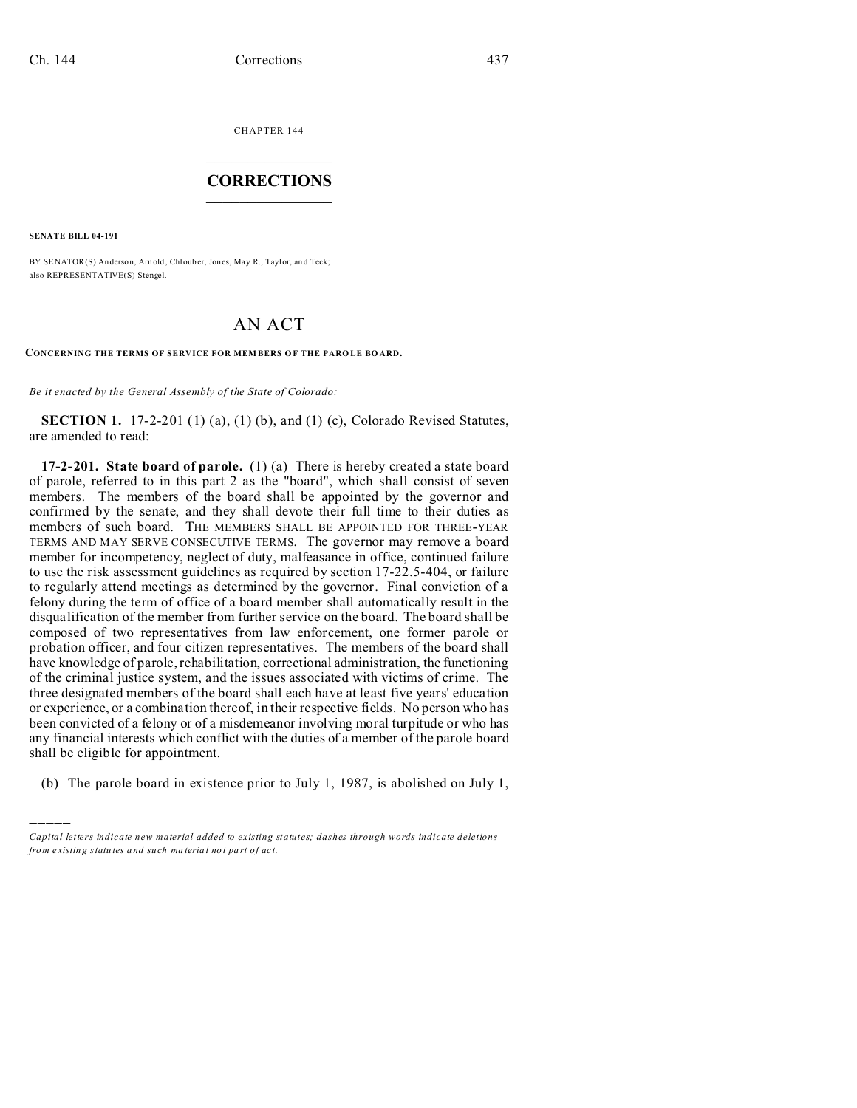CHAPTER 144  $\overline{\phantom{a}}$  , where  $\overline{\phantom{a}}$ 

## **CORRECTIONS**  $\frac{1}{2}$  ,  $\frac{1}{2}$  ,  $\frac{1}{2}$  ,  $\frac{1}{2}$  ,  $\frac{1}{2}$  ,  $\frac{1}{2}$

**SENATE BILL 04-191**

)))))

BY SENATOR(S) Anderson, Arnold, Chlouber, Jones, May R., Taylor, and Teck; also REPRESENTATIVE(S) Stengel.

## AN ACT

**CONCERNING THE TERMS OF SERVICE FOR MEMBERS OF THE PAROLE BOARD.** 

*Be it enacted by the General Assembly of the State of Colorado:*

**SECTION 1.** 17-2-201 (1) (a), (1) (b), and (1) (c), Colorado Revised Statutes, are amended to read:

**17-2-201. State board of parole.** (1) (a) There is hereby created a state board of parole, referred to in this part 2 as the "board", which shall consist of seven members. The members of the board shall be appointed by the governor and confirmed by the senate, and they shall devote their full time to their duties as members of such board. THE MEMBERS SHALL BE APPOINTED FOR THREE-YEAR TERMS AND MAY SERVE CONSECUTIVE TERMS. The governor may remove a board member for incompetency, neglect of duty, malfeasance in office, continued failure to use the risk assessment guidelines as required by section 17-22.5-404, or failure to regularly attend meetings as determined by the governor. Final conviction of a felony during the term of office of a board member shall automatically result in the disqualification of the member from further service on the board. The board shall be composed of two representatives from law enforcement, one former parole or probation officer, and four citizen representatives. The members of the board shall have knowledge of parole, rehabilitation, correctional administration, the functioning of the criminal justice system, and the issues associated with victims of crime. The three designated members of the board shall each have at least five years' education or experience, or a combination thereof, in their respective fields. No person who has been convicted of a felony or of a misdemeanor involving moral turpitude or who has any financial interests which conflict with the duties of a member of the parole board shall be eligible for appointment.

(b) The parole board in existence prior to July 1, 1987, is abolished on July 1,

*Capital letters indicate new material added to existing statutes; dashes through words indicate deletions from e xistin g statu tes a nd such ma teria l no t pa rt of ac t.*